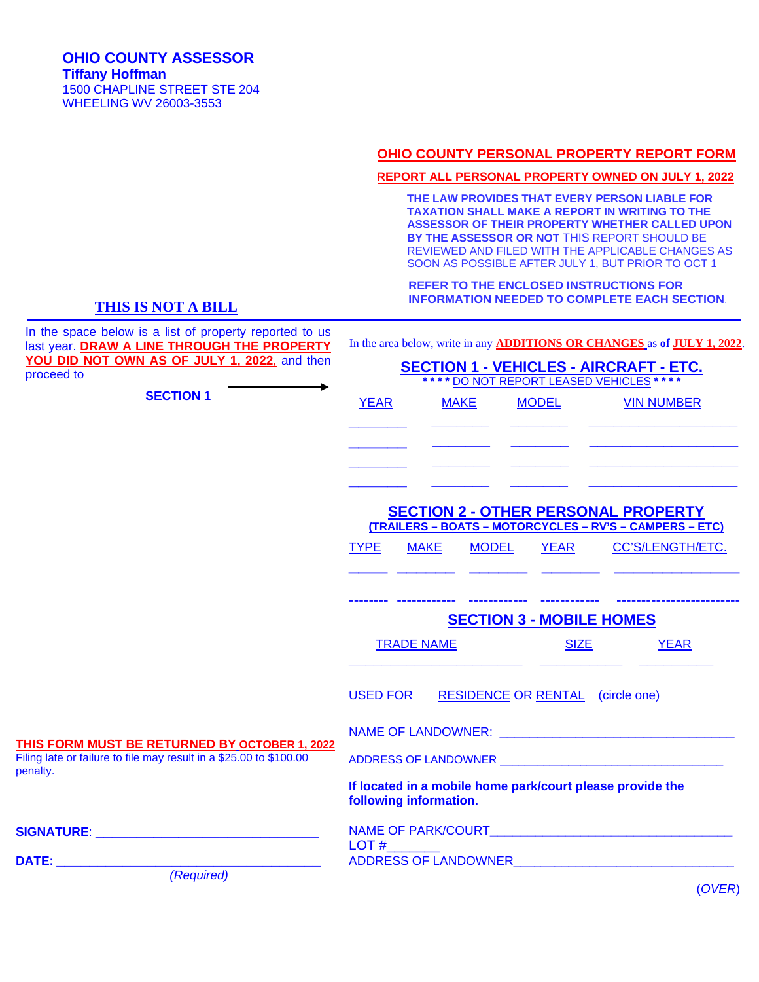#### **OHIO COUNTY PERSONAL PROPERTY REPORT FORM**

#### **REPORT ALL PERSONAL PROPERTY OWNED ON JULY 1, 2022**

 **THE LAW PROVIDES THAT EVERY PERSON LIABLE FOR TAXATION SHALL MAKE A REPORT IN WRITING TO THE ASSESSOR OF THEIR PROPERTY WHETHER CALLED UPON BY THE ASSESSOR OR NOT** THIS REPORT SHOULD BE REVIEWED AND FILED WITH THE APPLICABLE CHANGES AS SOON AS POSSIBLE AFTER JULY 1, BUT PRIOR TO OCT 1

 **REFER TO THE ENCLOSED INSTRUCTIONS FOR INFORMATION NEEDED TO COMPLETE EACH SECTION**.

### **THIS IS NOT A BILL**

| In the space below is a list of property reported to us<br>last year. DRAW A LINE THROUGH THE PROPERTY<br>YOU DID NOT OWN AS OF JULY 1, 2022, and then<br>proceed to | In the area below, write in any <b>ADDITIONS OR CHANGES</b> as of <b>JULY 1, 2022</b> .<br><b>SECTION 1 - VEHICLES - AIRCRAFT - ETC.</b><br>**** <u>DO NOT REPORT LEASED VEHICLES</u> ****                                                                                 |             |                      |                                                                                                                                                                                                                                                                                                      |  |  |
|----------------------------------------------------------------------------------------------------------------------------------------------------------------------|----------------------------------------------------------------------------------------------------------------------------------------------------------------------------------------------------------------------------------------------------------------------------|-------------|----------------------|------------------------------------------------------------------------------------------------------------------------------------------------------------------------------------------------------------------------------------------------------------------------------------------------------|--|--|
| <b>SECTION 1</b>                                                                                                                                                     | <b>YEAR</b>                                                                                                                                                                                                                                                                | <b>MAKE</b> | <b>MODEL</b>         | <b>VIN NUMBER</b><br><u> 2002 - Jan James James Jan James James James James James James James James James James James James James James James James James James James James James James James James James James James James James James James James J</u><br><u> 1999 - Jan Sterlinger (f. 1989)</u> |  |  |
|                                                                                                                                                                      | <b>TYPE</b>                                                                                                                                                                                                                                                                | MAKE        | <b>MODEL</b><br>YEAR | <b>SECTION 2 - OTHER PERSONAL PROPERTY</b><br>(TRAILERS - BOATS - MOTORCYCLES - RV'S - CAMPERS - ETC)<br>CC'S/LENGTH/ETC.<br>-------------------                                                                                                                                                     |  |  |
|                                                                                                                                                                      | <b>SECTION 3 - MOBILE HOMES</b><br><b>TRADE NAME</b><br><b>SIZE</b><br><b>YEAR</b>                                                                                                                                                                                         |             |                      |                                                                                                                                                                                                                                                                                                      |  |  |
| THIS FORM MUST BE RETURNED BY OCTOBER 1, 2022<br>Filing late or failure to file may result in a \$25.00 to \$100.00<br>penalty.                                      | <b>USED FOR</b><br><b>RESIDENCE OR RENTAL</b> (circle one)<br>If located in a mobile home park/court please provide the                                                                                                                                                    |             |                      |                                                                                                                                                                                                                                                                                                      |  |  |
| <u>SIGNATURE: __________________________________</u><br>(Required)                                                                                                   | following information.<br>LOT#<br>ADDRESS OF LANDOWNER AND THE STATE OF THE STATE OF THE STATE OF THE STATE OF THE STATE OF THE STATE OF THE STATE OF THE STATE OF THE STATE OF THE STATE OF THE STATE OF THE STATE OF THE STATE OF THE STATE OF THE STATE OF TH<br>(OVER) |             |                      |                                                                                                                                                                                                                                                                                                      |  |  |